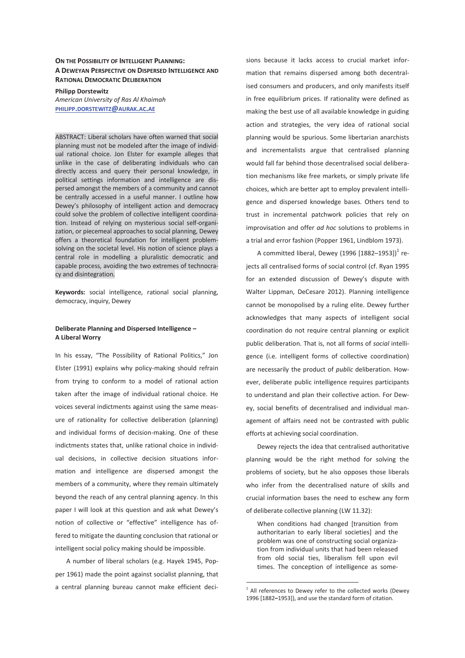## **ON THE POSSIBILITY OF INTELLIGENT PLANNING: A DEWEYAN PERSPECTIVE ON DISPERSED INTELLIGENCE AND RATIONAL DEMOCRATIC DELIBERATION**

**Philipp Dorstewitz**  *American University of Ras Al Khaimah*  **PHILIPP.DORSTEWITZ@AURAK.AC.AE**

ABSTRACT: Liberal scholars have often warned that social planning must not be modeled after the image of individual rational choice. Jon Elster for example alleges that unlike in the case of deliberating individuals who can directly access and query their personal knowledge, in political settings information and intelligence are dispersed amongst the members of a community and cannot be centrally accessed in a useful manner. I outline how Dewey's philosophy of intelligent action and democracy could solve the problem of collective intelligent coordination. Instead of relying on mysterious social self-organization, or piecemeal approaches to social planning, Dewey offers a theoretical foundation for intelligent problemsolving on the societal level. His notion of science plays a central role in modelling a pluralistic democratic and capable process, avoiding the two extremes of technocracy and disintegration.

**Keywords:** social intelligence, rational social planning, democracy, inquiry, Dewey

## **Deliberate Planning and Dispersed Intelligence – A Liberal Worry**

In his essay, "The Possibility of Rational Politics," Jon Elster (1991) explains why policy-making should refrain from trying to conform to a model of rational action taken after the image of individual rational choice. He voices several indictments against using the same measure of rationality for collective deliberation (planning) and individual forms of decision-making. One of these indictments states that, unlike rational choice in individual decisions, in collective decision situations information and intelligence are dispersed amongst the members of a community, where they remain ultimately beyond the reach of any central planning agency. In this paper I will look at this question and ask what Dewey's notion of collective or "effective" intelligence has offered to mitigate the daunting conclusion that rational or intelligent social policy making should be impossible.

A number of liberal scholars (e.g. Hayek 1945, Popper 1961) made the point against socialist planning, that a central planning bureau cannot make efficient decisions because it lacks access to crucial market information that remains dispersed among both decentralised consumers and producers, and only manifests itself in free equilibrium prices. If rationality were defined as making the best use of all available knowledge in guiding action and strategies, the very idea of rational social planning would be spurious. Some libertarian anarchists and incrementalists argue that centralised planning would fall far behind those decentralised social deliberation mechanisms like free markets, or simply private life choices, which are better apt to employ prevalent intelligence and dispersed knowledge bases. Others tend to trust in incremental patchwork policies that rely on improvisation and offer *ad hoc* solutions to problems in a trial and error fashion (Popper 1961, Lindblom 1973).

A committed liberal, Dewey (1996  $[1882-1953]$ )<sup>1</sup> rejects all centralised forms of social control (cf. Ryan 1995 for an extended discussion of Dewey's dispute with Walter Lippman, DeCesare 2012). Planning intelligence cannot be monopolised by a ruling elite. Dewey further acknowledges that many aspects of intelligent social coordination do not require central planning or explicit public deliberation. That is, not all forms of *social* intelligence (i.e. intelligent forms of collective coordination) are necessarily the product of *public* deliberation. However, deliberate public intelligence requires participants to understand and plan their collective action. For Dewey, social benefits of decentralised and individual management of affairs need not be contrasted with public efforts at achieving social coordination.

Dewey rejects the idea that centralised authoritative planning would be the right method for solving the problems of society, but he also opposes those liberals who infer from the decentralised nature of skills and crucial information bases the need to eschew any form of deliberate collective planning (LW 11.32):

When conditions had changed [transition from authoritarian to early liberal societies] and the problem was one of constructing social organization from individual units that had been released from old social ties, liberalism fell upon evil times. The conception of intelligence as some-

-

<sup>&</sup>lt;sup>1</sup> All references to Dewey refer to the collected works (Dewey 1996 [1882**–**1953]), and use the standard form of citation.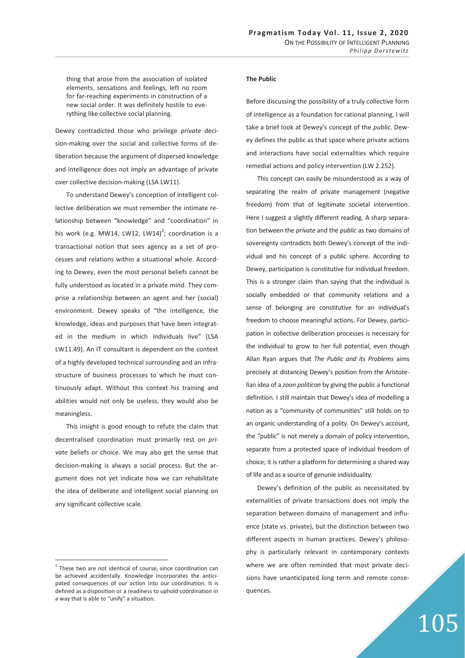thing that arose from the association of isolated elements, sensations and feelings, left no room for far-reaching experiments in construction of a new social order. It was definitely hostile to everything like collective social planning.

Dewey contradicted those who privilege *private* decision-making over the social and collective forms of deliberation because the argument of dispersed knowledge and intelligence does not imply an advantage of private over collective decision-making (LSA LW11).

To understand Dewey's conception of intelligent collective deliberation we must remember the intimate relationship between "knowledge" and "coordination" in his work (e.g. MW14, LW12, LW14)<sup>2</sup>; coordination is a transactional notion that sees agency as a set of processes and relations within a situational whole. According to Dewey, even the most personal beliefs cannot be fully understood as located in a private mind. They comprise a relationship between an agent and her (social) environment. Dewey speaks of "the intelligence, the knowledge, ideas and purposes that have been integrated in the medium in which individuals live" (LSA LW11.49). An IT consultant is dependent on the context of a highly developed technical surrounding and an infrastructure of business processes to which he must continuously adapt. Without this context his training and abilities would not only be useless, they would also be meaningless.

This insight is good enough to refute the claim that decentralised coordination must primarily rest on *private* beliefs or choice. We may also get the sense that decision-making is always a social process. But the argument does not yet indicate how we can rehabilitate the idea of deliberate and intelligent social planning on any significant collective scale.

 $\overline{a}$ 

#### **The Public**

Before discussing the possibility of a truly collective form of intelligence as a foundation for rational planning, I will take a brief look at Dewey's concept of the *public*. Dewey defines the public as that space where private actions and interactions have social externalities which require remedial actions and policy intervention (LW 2.252).

This concept can easily be misunderstood as a way of separating the realm of private management (negative freedom) from that of legitimate societal intervention. Here I suggest a slightly different reading. A sharp separation between the *private* and the *public* as two domains of sovereignty contradicts both Dewey's concept of the individual and his concept of a public sphere. According to Dewey, participation is constitutive for individual freedom. This is a stronger claim than saying that the individual is socially embedded or that community relations and a sense of belonging are constitutive for an individual's freedom to choose meaningful actions. For Dewey, participation in collective deliberation processes is necessary for the individual to grow to her full potential, even though Allan Ryan argues that *The Public and its Problems* aims precisely at distancing Dewey's position from the Aristotelian idea of a *zoon politicon* by giving the public a functional definition. I still maintain that Dewey's idea of modelling a nation as a "community of communities" still holds on to an organic understanding of a polity. On Dewey's account, the "public" is not merely a domain of policy intervention, separate from a protected space of individual freedom of choice; it is rather a platform for determining a shared way of life and as a source of genunie individuality.

Dewey's definition of the public as necessitated by externalities of private transactions does not imply the separation between domains of management and influence (state vs. private), but the distinction between two different aspects in human practices. Dewey's philosophy is particularly relevant in contemporary contexts where we are often reminded that most private decisions have unanticipated long term and remote consequences.

 $2$  These two are not identical of course, since coordination can be achieved accidentally. Knowledge incorporates the anticipated consequences of our action into our coordination. It is defined as a disposition or a readiness to uphold coordination in a way that is able to "unify" a situation.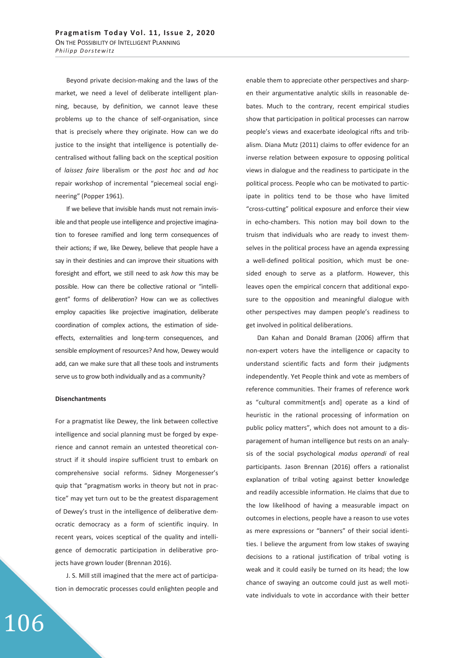Beyond private decision-making and the laws of the market, we need a level of deliberate intelligent planning, because, by definition, we cannot leave these problems up to the chance of self-organisation, since that is precisely where they originate. How can we do justice to the insight that intelligence is potentially decentralised without falling back on the sceptical position of *laissez faire* liberalism or the *post hoc* and *ad hoc* repair workshop of incremental "piecemeal social engineering" (Popper 1961).

If we believe that invisible hands must not remain invisible and that people use intelligence and projective imagination to foresee ramified and long term consequences of their actions; if we, like Dewey, believe that people have a say in their destinies and can improve their situations with foresight and effort, we still need to ask *how* this may be possible. How can there be collective rational or "intelligent" forms of *deliberation*? How can we as collectives employ capacities like projective imagination, deliberate coordination of complex actions, the estimation of sideeffects, externalities and long-term consequences, and sensible employment of resources? And how, Dewey would add, can we make sure that all these tools and instruments serve us to grow both individually and as a community?

### **Disenchantments**

106

For a pragmatist like Dewey, the link between collective intelligence and social planning must be forged by experience and cannot remain an untested theoretical construct if it should inspire sufficient trust to embark on comprehensive social reforms. Sidney Morgenesser's quip that "pragmatism works in theory but not in practice" may yet turn out to be the greatest disparagement of Dewey's trust in the intelligence of deliberative democratic democracy as a form of scientific inquiry. In recent years, voices sceptical of the quality and intelligence of democratic participation in deliberative projects have grown louder (Brennan 2016).

J. S. Mill still imagined that the mere act of participation in democratic processes could enlighten people and

enable them to appreciate other perspectives and sharpen their argumentative analytic skills in reasonable debates. Much to the contrary, recent empirical studies show that participation in political processes can narrow people's views and exacerbate ideological rifts and tribalism. Diana Mutz (2011) claims to offer evidence for an inverse relation between exposure to opposing political views in dialogue and the readiness to participate in the political process. People who can be motivated to participate in politics tend to be those who have limited "cross-cutting" political exposure and enforce their view in echo-chambers. This notion may boil down to the truism that individuals who are ready to invest themselves in the political process have an agenda expressing a well-defined political position, which must be onesided enough to serve as a platform. However, this leaves open the empirical concern that additional exposure to the opposition and meaningful dialogue with other perspectives may dampen people's readiness to get involved in political deliberations.

Dan Kahan and Donald Braman (2006) affirm that non-expert voters have the intelligence or capacity to understand scientific facts and form their judgments independently. Yet People think and vote as members of reference communities. Their frames of reference work as "cultural commitment[s and] operate as a kind of heuristic in the rational processing of information on public policy matters", which does not amount to a disparagement of human intelligence but rests on an analysis of the social psychological *modus operandi* of real participants. Jason Brennan (2016) offers a rationalist explanation of tribal voting against better knowledge and readily accessible information. He claims that due to the low likelihood of having a measurable impact on outcomes in elections, people have a reason to use votes as mere expressions or "banners" of their social identities. I believe the argument from low stakes of swaying decisions to a rational justification of tribal voting is weak and it could easily be turned on its head; the low chance of swaying an outcome could just as well motivate individuals to vote in accordance with their better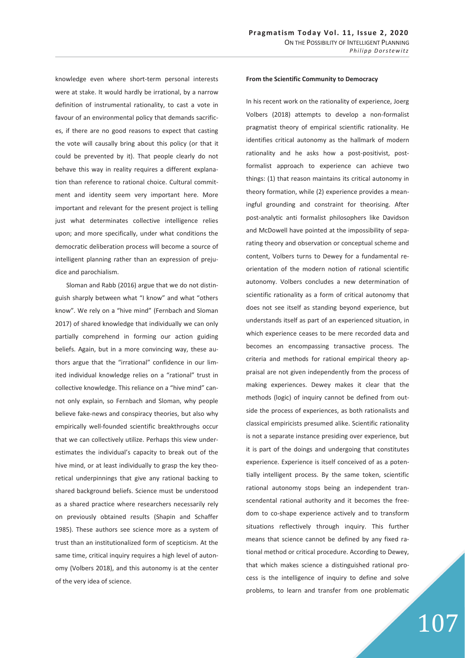knowledge even where short-term personal interests were at stake. It would hardly be irrational, by a narrow definition of instrumental rationality, to cast a vote in favour of an environmental policy that demands sacrifices, if there are no good reasons to expect that casting the vote will causally bring about this policy (or that it could be prevented by it). That people clearly do not behave this way in reality requires a different explanation than reference to rational choice. Cultural commitment and identity seem very important here. More important and relevant for the present project is telling just what determinates collective intelligence relies upon; and more specifically, under what conditions the democratic deliberation process will become a source of intelligent planning rather than an expression of prejudice and parochialism.

Sloman and Rabb (2016) argue that we do not distinguish sharply between what "I know" and what "others know". We rely on a "hive mind" (Fernbach and Sloman 2017) of shared knowledge that individually we can only partially comprehend in forming our action guiding beliefs. Again, but in a more convincing way, these authors argue that the "irrational" confidence in our limited individual knowledge relies on a "rational" trust in collective knowledge. This reliance on a "hive mind" cannot only explain, so Fernbach and Sloman, why people believe fake-news and conspiracy theories, but also why empirically well-founded scientific breakthroughs occur that we can collectively utilize. Perhaps this view underestimates the individual's capacity to break out of the hive mind, or at least individually to grasp the key theoretical underpinnings that give any rational backing to shared background beliefs. Science must be understood as a shared practice where researchers necessarily rely on previously obtained results (Shapin and Schaffer 1985). These authors see science more as a system of trust than an institutionalized form of scepticism. At the same time, critical inquiry requires a high level of autonomy (Volbers 2018), and this autonomy is at the center of the very idea of science.

#### **From the Scientific Community to Democracy**

In his recent work on the rationality of experience, Joerg Volbers (2018) attempts to develop a non-formalist pragmatist theory of empirical scientific rationality. He identifies critical autonomy as the hallmark of modern rationality and he asks how a post-positivist, postformalist approach to experience can achieve two things: (1) that reason maintains its critical autonomy in theory formation, while (2) experience provides a meaningful grounding and constraint for theorising. After post-analytic anti formalist philosophers like Davidson and McDowell have pointed at the impossibility of separating theory and observation or conceptual scheme and content, Volbers turns to Dewey for a fundamental reorientation of the modern notion of rational scientific autonomy. Volbers concludes a new determination of scientific rationality as a form of critical autonomy that does not see itself as standing beyond experience, but understands itself as part of an experienced situation, in which experience ceases to be mere recorded data and becomes an encompassing transactive process. The criteria and methods for rational empirical theory appraisal are not given independently from the process of making experiences. Dewey makes it clear that the methods (logic) of inquiry cannot be defined from outside the process of experiences, as both rationalists and classical empiricists presumed alike. Scientific rationality is not a separate instance presiding over experience, but it is part of the doings and undergoing that constitutes experience. Experience is itself conceived of as a potentially intelligent process. By the same token, scientific rational autonomy stops being an independent transcendental rational authority and it becomes the freedom to co-shape experience actively and to transform situations reflectively through inquiry. This further means that science cannot be defined by any fixed rational method or critical procedure. According to Dewey, that which makes science a distinguished rational process is the intelligence of inquiry to define and solve problems, to learn and transfer from one problematic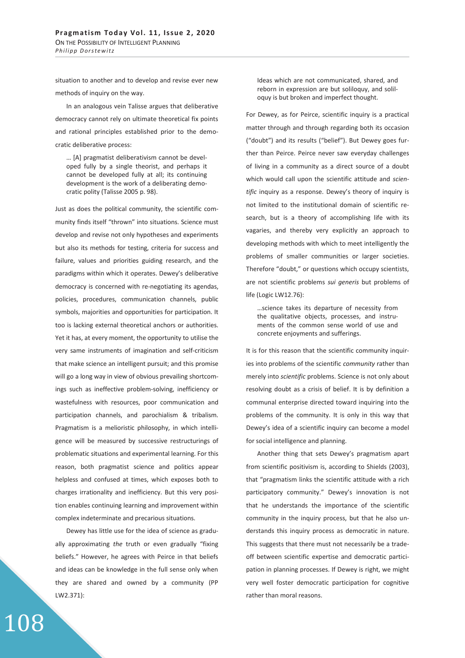situation to another and to develop and revise ever new methods of inquiry on the way.

In an analogous vein Talisse argues that deliberative democracy cannot rely on ultimate theoretical fix points and rational principles established prior to the democratic deliberative process:

… [A] pragmatist deliberativism cannot be developed fully by a single theorist, and perhaps it cannot be developed fully at all; its continuing development is the work of a deliberating democratic polity (Talisse 2005 p. 98).

Just as does the political community, the scientific community finds itself "thrown" into situations. Science must develop and revise not only hypotheses and experiments but also its methods for testing, criteria for success and failure, values and priorities guiding research, and the paradigms within which it operates. Dewey's deliberative democracy is concerned with re-negotiating its agendas, policies, procedures, communication channels, public symbols, majorities and opportunities for participation. It too is lacking external theoretical anchors or authorities. Yet it has, at every moment, the opportunity to utilise the very same instruments of imagination and self-criticism that make science an intelligent pursuit; and this promise will go a long way in view of obvious prevailing shortcomings such as ineffective problem-solving, inefficiency or wastefulness with resources, poor communication and participation channels, and parochialism & tribalism. Pragmatism is a melioristic philosophy, in which intelligence will be measured by successive restructurings of problematic situations and experimental learning. For this reason, both pragmatist science and politics appear helpless and confused at times, which exposes both to charges irrationality and inefficiency. But this very position enables continuing learning and improvement within complex indeterminate and precarious situations.

Dewey has little use for the idea of science as gradually approximating *the* truth or even gradually "fixing beliefs." However, he agrees with Peirce in that beliefs and ideas can be knowledge in the full sense only when they are shared and owned by a community (PP LW2.371):

108

Ideas which are not communicated, shared, and reborn in expression are but soliloquy, and soliloquy is but broken and imperfect thought.

For Dewey, as for Peirce, scientific inquiry is a practical matter through and through regarding both its occasion ("doubt") and its results ("belief"). But Dewey goes further than Peirce. Peirce never saw everyday challenges of living in a community as a direct source of a doubt which would call upon the scientific attitude and *scientific* inquiry as a response. Dewey's theory of inquiry is not limited to the institutional domain of scientific research, but is a theory of accomplishing life with its vagaries, and thereby very explicitly an approach to developing methods with which to meet intelligently the problems of smaller communities or larger societies. Therefore "doubt," or questions which occupy scientists, are not scientific problems *sui generis* but problems of life (Logic LW12.76):

…science takes its departure of necessity from the qualitative objects, processes, and instruments of the common sense world of use and concrete enjoyments and sufferings.

It is for this reason that the scientific community inquiries into problems of the scientific *community* rather than merely into *scientific* problems. Science is not only about resolving doubt as a crisis of belief. It is by definition a communal enterprise directed toward inquiring into the problems of the community. It is only in this way that Dewey's idea of a scientific inquiry can become a model for social intelligence and planning.

Another thing that sets Dewey's pragmatism apart from scientific positivism is, according to Shields (2003), that "pragmatism links the scientific attitude with a rich participatory community." Dewey's innovation is not that he understands the importance of the scientific community in the inquiry process, but that he also understands this inquiry process as democratic in nature. This suggests that there must not necessarily be a tradeoff between scientific expertise and democratic participation in planning processes. If Dewey is right, we might very well foster democratic participation for cognitive rather than moral reasons.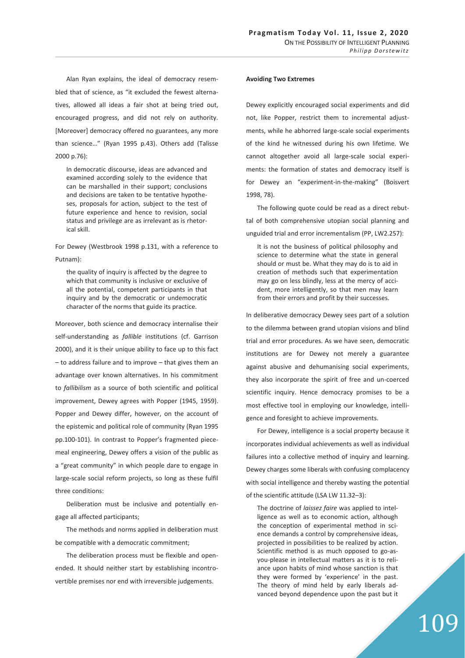Alan Ryan explains, the ideal of democracy resembled that of science, as "it excluded the fewest alternatives, allowed all ideas a fair shot at being tried out, encouraged progress, and did not rely on authority. [Moreover] democracy offered no guarantees, any more than science…" (Ryan 1995 p.43). Others add (Talisse 2000 p.76):

In democratic discourse, ideas are advanced and examined according solely to the evidence that can be marshalled in their support; conclusions and decisions are taken to be tentative hypotheses, proposals for action, subject to the test of future experience and hence to revision, social status and privilege are as irrelevant as is rhetorical skill.

For Dewey (Westbrook 1998 p.131, with a reference to Putnam):

the quality of inquiry is affected by the degree to which that community is inclusive or exclusive of all the potential, competent participants in that inquiry and by the democratic or undemocratic character of the norms that guide its practice.

Moreover, both science and democracy internalise their self-understanding as *fallible* institutions (cf. Garrison 2000), and it is their unique ability to face up to this fact – to address failure and to improve – that gives them an advantage over known alternatives. In his commitment to *fallibilism* as a source of both scientific and political improvement, Dewey agrees with Popper (1945, 1959). Popper and Dewey differ, however, on the account of the epistemic and political role of community (Ryan 1995 pp.100-101). In contrast to Popper's fragmented piecemeal engineering, Dewey offers a vision of the public as a "great community" in which people dare to engage in large-scale social reform projects, so long as these fulfil three conditions:

Deliberation must be inclusive and potentially engage all affected participants;

The methods and norms applied in deliberation must be compatible with a democratic commitment;

The deliberation process must be flexible and openended. It should neither start by establishing incontrovertible premises nor end with irreversible judgements.

#### **Avoiding Two Extremes**

Dewey explicitly encouraged social experiments and did not, like Popper, restrict them to incremental adjustments, while he abhorred large-scale social experiments of the kind he witnessed during his own lifetime. We cannot altogether avoid all large-scale social experiments: the formation of states and democracy itself is for Dewey an "experiment-in-the-making" (Boisvert 1998, 78).

The following quote could be read as a direct rebuttal of both comprehensive utopian social planning and unguided trial and error incrementalism (PP, LW2.257):

It is not the business of political philosophy and science to determine what the state in general should or must be. What they may do is to aid in creation of methods such that experimentation may go on less blindly, less at the mercy of accident, more intelligently, so that men may learn from their errors and profit by their successes.

In deliberative democracy Dewey sees part of a solution to the dilemma between grand utopian visions and blind trial and error procedures. As we have seen, democratic institutions are for Dewey not merely a guarantee against abusive and dehumanising social experiments, they also incorporate the spirit of free and un-coerced scientific inquiry. Hence democracy promises to be a most effective tool in employing our knowledge, intelligence and foresight to achieve improvements.

For Dewey, intelligence is a social property because it incorporates individual achievements as well as individual failures into a collective method of inquiry and learning. Dewey charges some liberals with confusing complacency with social intelligence and thereby wasting the potential of the scientific attitude (LSA LW 11.32–3):

The doctrine of *laissez faire* was applied to intelligence as well as to economic action, although the conception of experimental method in science demands a control by comprehensive ideas, projected in possibilities to be realized by action. Scientific method is as much opposed to go-asyou-please in intellectual matters as it is to reliance upon habits of mind whose sanction is that they were formed by 'experience' in the past. The theory of mind held by early liberals advanced beyond dependence upon the past but it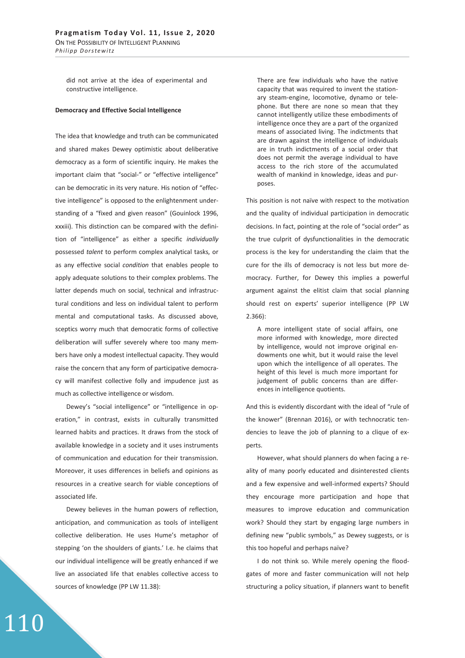did not arrive at the idea of experimental and constructive intelligence.

#### **Democracy and Effective Social Intelligence**

The idea that knowledge and truth can be communicated and shared makes Dewey optimistic about deliberative democracy as a form of scientific inquiry. He makes the important claim that "social-" or "effective intelligence" can be democratic in its very nature. His notion of "effective intelligence" is opposed to the enlightenment understanding of a "fixed and given reason" (Gouinlock 1996, xxxiii). This distinction can be compared with the definition of "intelligence" as either a specific *individually* possessed *talent* to perform complex analytical tasks, or as any effective social *condition* that enables people to apply adequate solutions to their complex problems. The latter depends much on social, technical and infrastructural conditions and less on individual talent to perform mental and computational tasks. As discussed above, sceptics worry much that democratic forms of collective deliberation will suffer severely where too many members have only a modest intellectual capacity. They would raise the concern that any form of participative democracy will manifest collective folly and impudence just as much as collective intelligence or wisdom.

Dewey's "social intelligence" or "intelligence in operation," in contrast, exists in culturally transmitted learned habits and practices. It draws from the stock of available knowledge in a society and it uses instruments of communication and education for their transmission. Moreover, it uses differences in beliefs and opinions as resources in a creative search for viable conceptions of associated life.

Dewey believes in the human powers of reflection, anticipation, and communication as tools of intelligent collective deliberation. He uses Hume's metaphor of stepping 'on the shoulders of giants.' I.e. he claims that our individual intelligence will be greatly enhanced if we live an associated life that enables collective access to sources of knowledge (PP LW 11.38):

110

There are few individuals who have the native capacity that was required to invent the stationary steam-engine, locomotive, dynamo or telephone. But there are none so mean that they cannot intelligently utilize these embodiments of intelligence once they are a part of the organized means of associated living. The indictments that are drawn against the intelligence of individuals are in truth indictments of a social order that does not permit the average individual to have access to the rich store of the accumulated wealth of mankind in knowledge, ideas and purposes.

This position is not naïve with respect to the motivation and the quality of individual participation in democratic decisions. In fact, pointing at the role of "social order" as the true culprit of dysfunctionalities in the democratic process is the key for understanding the claim that the cure for the ills of democracy is not less but more democracy. Further, for Dewey this implies a powerful argument against the elitist claim that social planning should rest on experts' superior intelligence (PP LW 2.366):

A more intelligent state of social affairs, one more informed with knowledge, more directed by intelligence, would not improve original endowments one whit, but it would raise the level upon which the intelligence of all operates. The height of this level is much more important for judgement of public concerns than are differences in intelligence quotients.

And this is evidently discordant with the ideal of "rule of the knower" (Brennan 2016), or with technocratic tendencies to leave the job of planning to a clique of experts.

However, what should planners do when facing a reality of many poorly educated and disinterested clients and a few expensive and well-informed experts? Should they encourage more participation and hope that measures to improve education and communication work? Should they start by engaging large numbers in defining new "public symbols," as Dewey suggests, or is this too hopeful and perhaps naïve?

I do not think so. While merely opening the floodgates of more and faster communication will not help structuring a policy situation, if planners want to benefit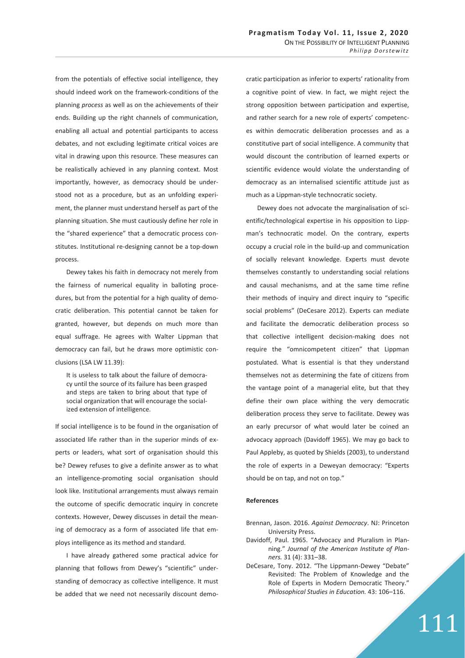from the potentials of effective social intelligence, they should indeed work on the framework-conditions of the planning *process* as well as on the achievements of their ends. Building up the right channels of communication, enabling all actual and potential participants to access debates, and not excluding legitimate critical voices are vital in drawing upon this resource. These measures can be realistically achieved in any planning context. Most importantly, however, as democracy should be understood not as a procedure, but as an unfolding experiment, the planner must understand herself as part of the planning situation. She must cautiously define her role in the "shared experience" that a democratic process constitutes. Institutional re-designing cannot be a top-down process.

Dewey takes his faith in democracy not merely from the fairness of numerical equality in balloting procedures, but from the potential for a high quality of democratic deliberation. This potential cannot be taken for granted, however, but depends on much more than equal suffrage. He agrees with Walter Lippman that democracy can fail, but he draws more optimistic conclusions (LSA LW 11.39):

It is useless to talk about the failure of democracy until the source of its failure has been grasped and steps are taken to bring about that type of social organization that will encourage the socialized extension of intelligence.

If social intelligence is to be found in the organisation of associated life rather than in the superior minds of experts or leaders, what sort of organisation should this be? Dewey refuses to give a definite answer as to what an intelligence-promoting social organisation should look like. Institutional arrangements must always remain the outcome of specific democratic inquiry in concrete contexts. However, Dewey discusses in detail the meaning of democracy as a form of associated life that employs intelligence as its method and standard.

I have already gathered some practical advice for planning that follows from Dewey's "scientific" understanding of democracy as collective intelligence. It must be added that we need not necessarily discount democratic participation as inferior to experts' rationality from a cognitive point of view. In fact, we might reject the strong opposition between participation and expertise, and rather search for a new role of experts' competences within democratic deliberation processes and as a constitutive part of social intelligence. A community that would discount the contribution of learned experts or scientific evidence would violate the understanding of democracy as an internalised scientific attitude just as much as a Lippman-style technocratic society.

Dewey does not advocate the marginalisation of scientific/technological expertise in his opposition to Lippman's technocratic model. On the contrary, experts occupy a crucial role in the build-up and communication of socially relevant knowledge. Experts must devote themselves constantly to understanding social relations and causal mechanisms, and at the same time refine their methods of inquiry and direct inquiry to "specific social problems" (DeCesare 2012). Experts can mediate and facilitate the democratic deliberation process so that collective intelligent decision-making does not require the "omnicompetent citizen" that Lippman postulated. What is essential is that they understand themselves not as determining the fate of citizens from the vantage point of a managerial elite, but that they define their own place withing the very democratic deliberation process they serve to facilitate. Dewey was an early precursor of what would later be coined an advocacy approach (Davidoff 1965). We may go back to Paul Appleby, as quoted by Shields (2003), to understand the role of experts in a Deweyan democracy: "Experts should be on tap, and not on top."

### **References**

- Brennan, Jason. 2016. *Against Democracy*. NJ: Princeton University Press.
- Davidoff, Paul. 1965. "Advocacy and Pluralism in Planning." *Journal of the American Institute of Planners.* 31 (4): 331–38.
- DeCesare, Tony. 2012. "The Lippmann-Dewey "Debate" Revisited: The Problem of Knowledge and the Role of Experts in Modern Democratic Theory." *Philosophical Studies in Education.* 43: 106–116.